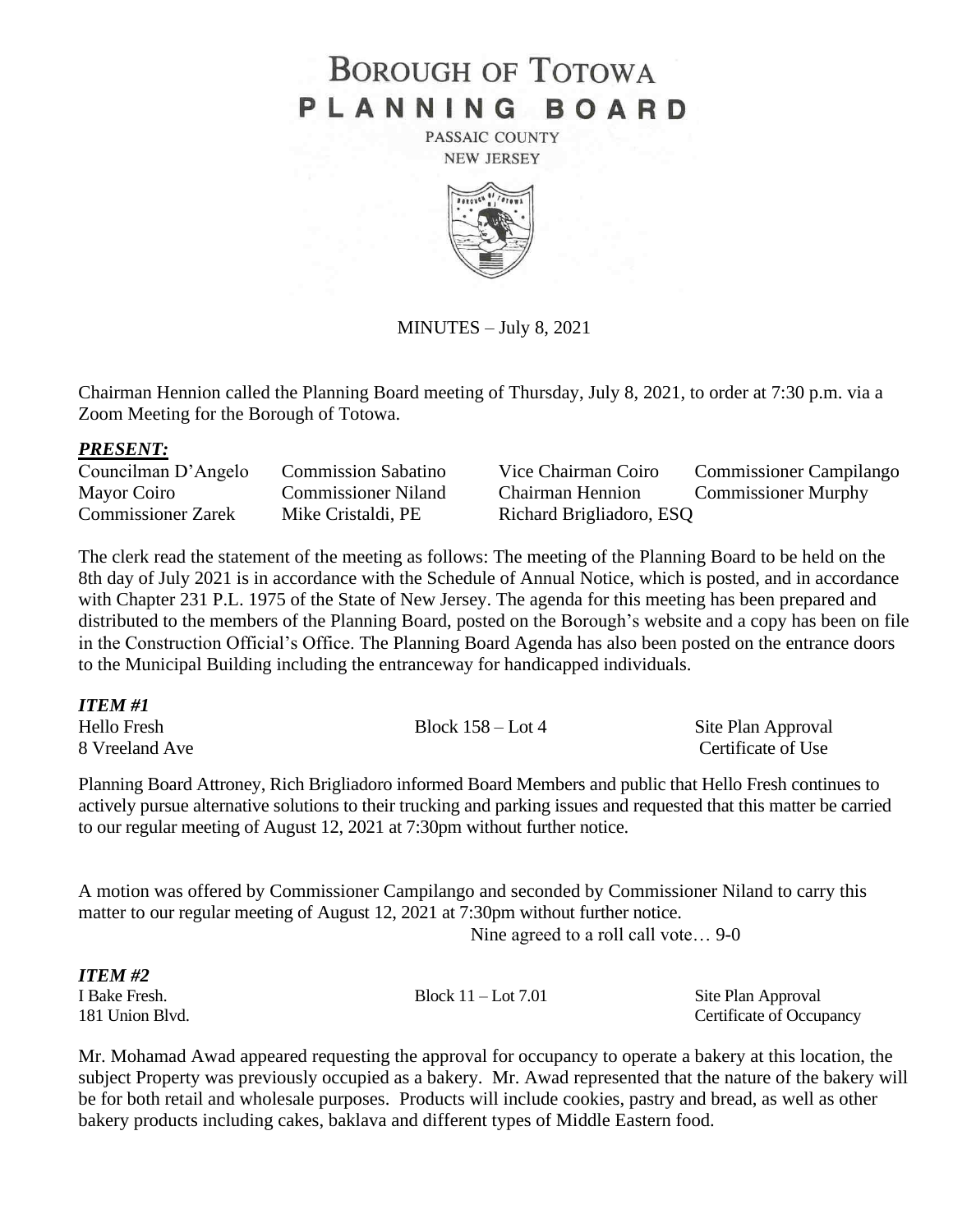# **BOROUGH OF TOTOWA** PLANNING BOARD

PASSAIC COUNTY **NEW JERSEY** 



MINUTES – July 8, 2021

Chairman Hennion called the Planning Board meeting of Thursday, July 8, 2021, to order at 7:30 p.m. via a Zoom Meeting for the Borough of Totowa.

#### *PRESENT:*

Councilman D'Angelo Commission Sabatino Vice Chairman Coiro Commissioner Campilango Mayor Coiro Commissioner Niland Chairman Hennion Commissioner Murphy Commissioner Zarek Mike Cristaldi, PE Richard Brigliadoro, ESQ

The clerk read the statement of the meeting as follows: The meeting of the Planning Board to be held on the 8th day of July 2021 is in accordance with the Schedule of Annual Notice, which is posted, and in accordance with Chapter 231 P.L. 1975 of the State of New Jersey. The agenda for this meeting has been prepared and distributed to the members of the Planning Board, posted on the Borough's website and a copy has been on file in the Construction Official's Office. The Planning Board Agenda has also been posted on the entrance doors to the Municipal Building including the entranceway for handicapped individuals.

| ITEM #1        |                     |                    |
|----------------|---------------------|--------------------|
| Hello Fresh    | Block $158 -$ Lot 4 | Site Plan Approval |
| 8 Vreeland Ave |                     | Certificate of Use |

Planning Board Attroney, Rich Brigliadoro informed Board Members and public that Hello Fresh continues to actively pursue alternative solutions to their trucking and parking issues and requested that this matter be carried to our regular meeting of August 12, 2021 at 7:30pm without further notice.

A motion was offered by Commissioner Campilango and seconded by Commissioner Niland to carry this matter to our regular meeting of August 12, 2021 at 7:30pm without further notice.

Nine agreed to a roll call vote… 9-0

| Block $11 -$ Lot $7.01$<br>Site Plan Approval |
|-----------------------------------------------|
| Certificate of Occupancy                      |
|                                               |

Mr. Mohamad Awad appeared requesting the approval for occupancy to operate a bakery at this location, the subject Property was previously occupied as a bakery. Mr. Awad represented that the nature of the bakery will be for both retail and wholesale purposes. Products will include cookies, pastry and bread, as well as other bakery products including cakes, baklava and different types of Middle Eastern food.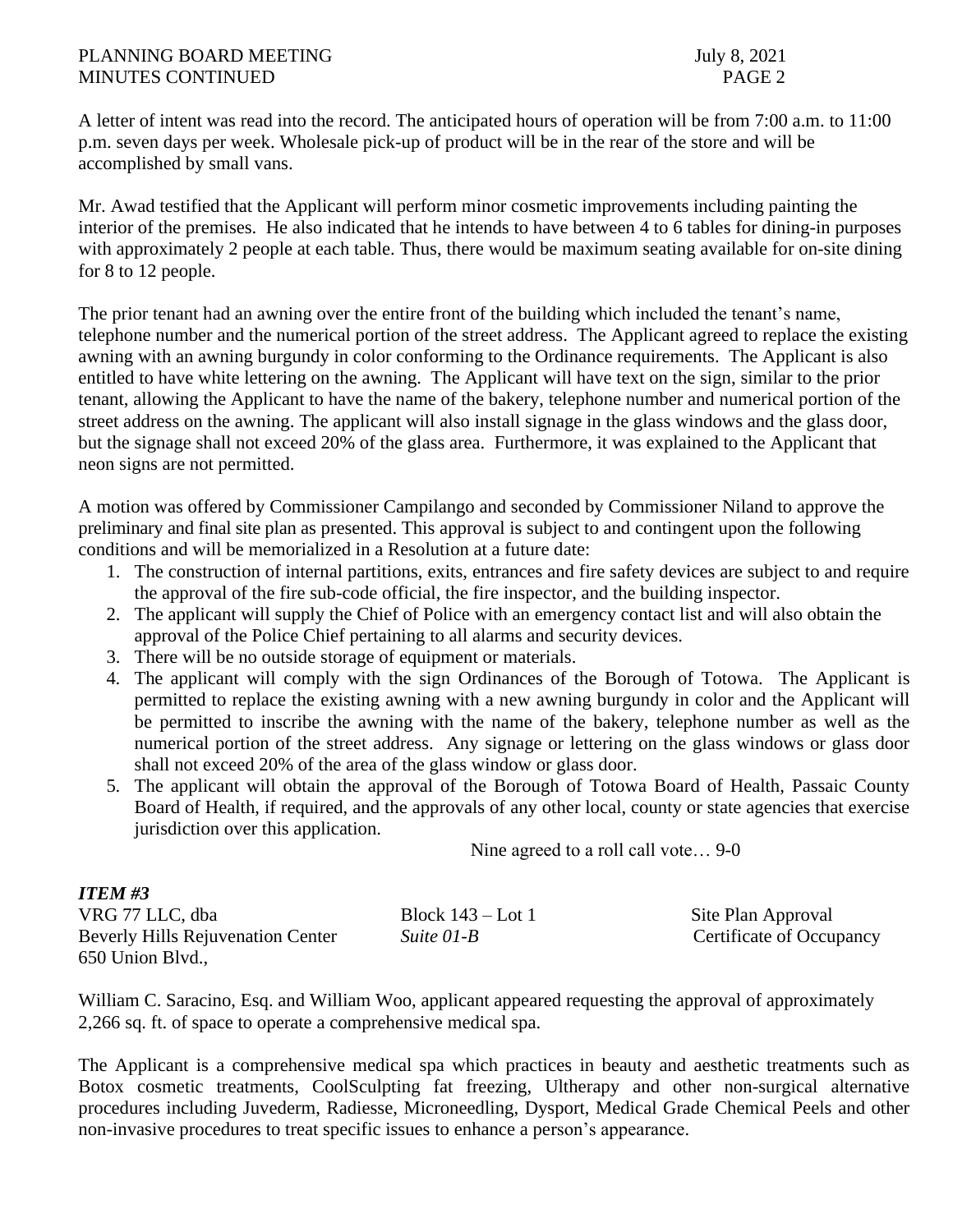### PLANNING BOARD MEETING July 8, 2021 MINUTES CONTINUED **PAGE 2**

A letter of intent was read into the record. The anticipated hours of operation will be from 7:00 a.m. to 11:00 p.m. seven days per week. Wholesale pick-up of product will be in the rear of the store and will be accomplished by small vans.

Mr. Awad testified that the Applicant will perform minor cosmetic improvements including painting the interior of the premises. He also indicated that he intends to have between 4 to 6 tables for dining-in purposes with approximately 2 people at each table. Thus, there would be maximum seating available for on-site dining for 8 to 12 people.

The prior tenant had an awning over the entire front of the building which included the tenant's name, telephone number and the numerical portion of the street address. The Applicant agreed to replace the existing awning with an awning burgundy in color conforming to the Ordinance requirements. The Applicant is also entitled to have white lettering on the awning. The Applicant will have text on the sign, similar to the prior tenant, allowing the Applicant to have the name of the bakery, telephone number and numerical portion of the street address on the awning. The applicant will also install signage in the glass windows and the glass door, but the signage shall not exceed 20% of the glass area. Furthermore, it was explained to the Applicant that neon signs are not permitted.

A motion was offered by Commissioner Campilango and seconded by Commissioner Niland to approve the preliminary and final site plan as presented. This approval is subject to and contingent upon the following conditions and will be memorialized in a Resolution at a future date:

- 1. The construction of internal partitions, exits, entrances and fire safety devices are subject to and require the approval of the fire sub-code official, the fire inspector, and the building inspector.
- 2. The applicant will supply the Chief of Police with an emergency contact list and will also obtain the approval of the Police Chief pertaining to all alarms and security devices.
- 3. There will be no outside storage of equipment or materials.
- 4. The applicant will comply with the sign Ordinances of the Borough of Totowa. The Applicant is permitted to replace the existing awning with a new awning burgundy in color and the Applicant will be permitted to inscribe the awning with the name of the bakery, telephone number as well as the numerical portion of the street address. Any signage or lettering on the glass windows or glass door shall not exceed 20% of the area of the glass window or glass door.
- 5. The applicant will obtain the approval of the Borough of Totowa Board of Health, Passaic County Board of Health, if required, and the approvals of any other local, county or state agencies that exercise jurisdiction over this application.

Nine agreed to a roll call vote… 9-0

| <b>ITEM #3</b>                           |                     |                          |
|------------------------------------------|---------------------|--------------------------|
| VRG 77 LLC, dba                          | Block $143 -$ Lot 1 | Site Plan Approval       |
| <b>Beverly Hills Rejuvenation Center</b> | Suite 01-B          | Certificate of Occupancy |
| 650 Union Blvd.,                         |                     |                          |

William C. Saracino, Esq. and William Woo, applicant appeared requesting the approval of approximately 2,266 sq. ft. of space to operate a comprehensive medical spa.

The Applicant is a comprehensive medical spa which practices in beauty and aesthetic treatments such as Botox cosmetic treatments, CoolSculpting fat freezing, Ultherapy and other non-surgical alternative procedures including Juvederm, Radiesse, Microneedling, Dysport, Medical Grade Chemical Peels and other non-invasive procedures to treat specific issues to enhance a person's appearance.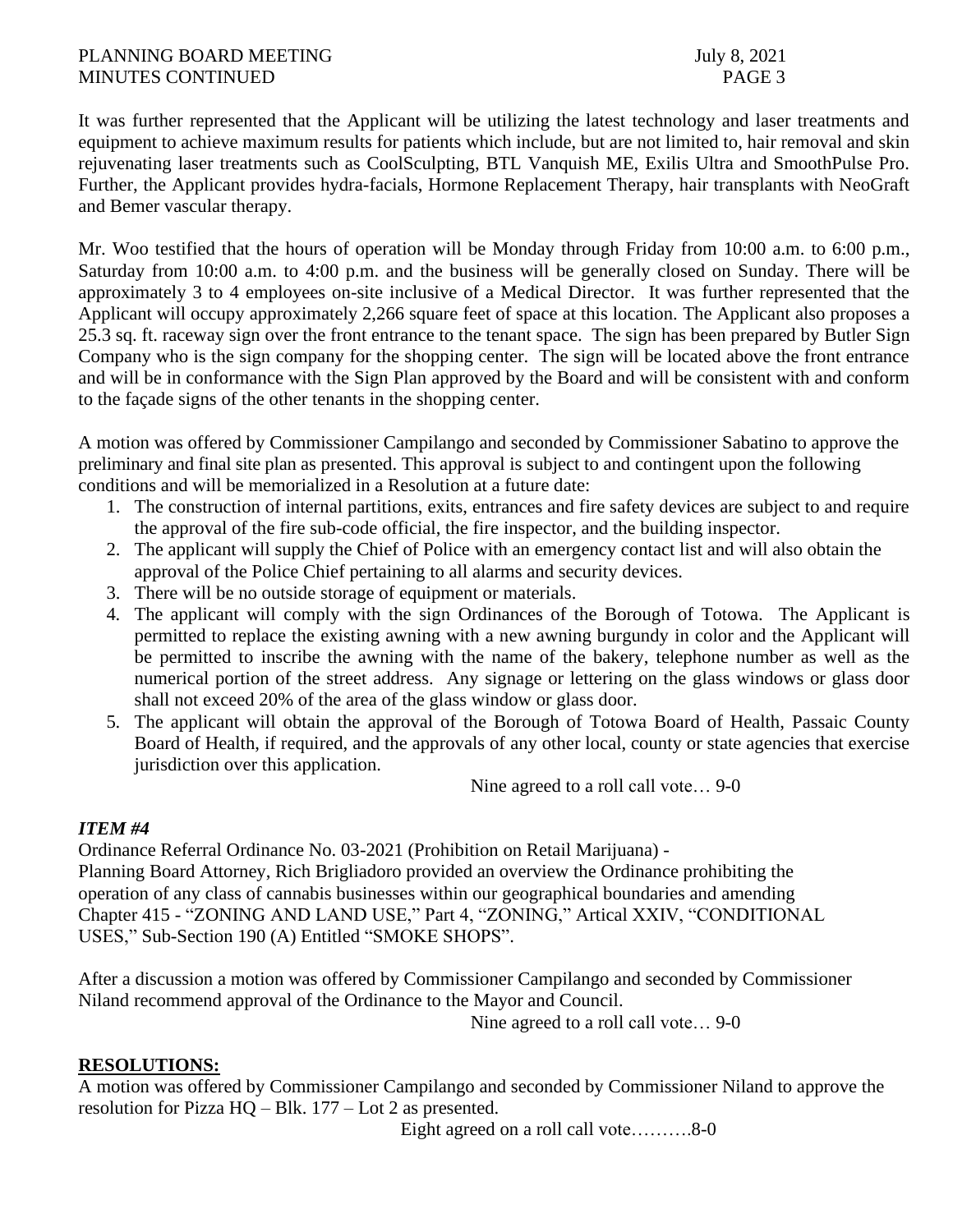It was further represented that the Applicant will be utilizing the latest technology and laser treatments and equipment to achieve maximum results for patients which include, but are not limited to, hair removal and skin rejuvenating laser treatments such as CoolSculpting, BTL Vanquish ME, Exilis Ultra and SmoothPulse Pro. Further, the Applicant provides hydra-facials, Hormone Replacement Therapy, hair transplants with NeoGraft and Bemer vascular therapy.

Mr. Woo testified that the hours of operation will be Monday through Friday from 10:00 a.m. to 6:00 p.m., Saturday from 10:00 a.m. to 4:00 p.m. and the business will be generally closed on Sunday. There will be approximately 3 to 4 employees on-site inclusive of a Medical Director. It was further represented that the Applicant will occupy approximately 2,266 square feet of space at this location. The Applicant also proposes a 25.3 sq. ft. raceway sign over the front entrance to the tenant space. The sign has been prepared by Butler Sign Company who is the sign company for the shopping center. The sign will be located above the front entrance and will be in conformance with the Sign Plan approved by the Board and will be consistent with and conform to the façade signs of the other tenants in the shopping center.

A motion was offered by Commissioner Campilango and seconded by Commissioner Sabatino to approve the preliminary and final site plan as presented. This approval is subject to and contingent upon the following conditions and will be memorialized in a Resolution at a future date:

- 1. The construction of internal partitions, exits, entrances and fire safety devices are subject to and require the approval of the fire sub-code official, the fire inspector, and the building inspector.
- 2. The applicant will supply the Chief of Police with an emergency contact list and will also obtain the approval of the Police Chief pertaining to all alarms and security devices.
- 3. There will be no outside storage of equipment or materials.
- 4. The applicant will comply with the sign Ordinances of the Borough of Totowa. The Applicant is permitted to replace the existing awning with a new awning burgundy in color and the Applicant will be permitted to inscribe the awning with the name of the bakery, telephone number as well as the numerical portion of the street address. Any signage or lettering on the glass windows or glass door shall not exceed 20% of the area of the glass window or glass door.
- 5. The applicant will obtain the approval of the Borough of Totowa Board of Health, Passaic County Board of Health, if required, and the approvals of any other local, county or state agencies that exercise jurisdiction over this application.

Nine agreed to a roll call vote… 9-0

## *ITEM #4*

Ordinance Referral Ordinance No. 03-2021 (Prohibition on Retail Marijuana) - Planning Board Attorney, Rich Brigliadoro provided an overview the Ordinance prohibiting the operation of any class of cannabis businesses within our geographical boundaries and amending Chapter 415 - "ZONING AND LAND USE," Part 4, "ZONING," Artical XXIV, "CONDITIONAL USES," Sub-Section 190 (A) Entitled "SMOKE SHOPS".

After a discussion a motion was offered by Commissioner Campilango and seconded by Commissioner Niland recommend approval of the Ordinance to the Mayor and Council.

Nine agreed to a roll call vote… 9-0

## **RESOLUTIONS:**

A motion was offered by Commissioner Campilango and seconded by Commissioner Niland to approve the resolution for Pizza HQ – Blk. 177 – Lot 2 as presented.

Eight agreed on a roll call vote……….8-0